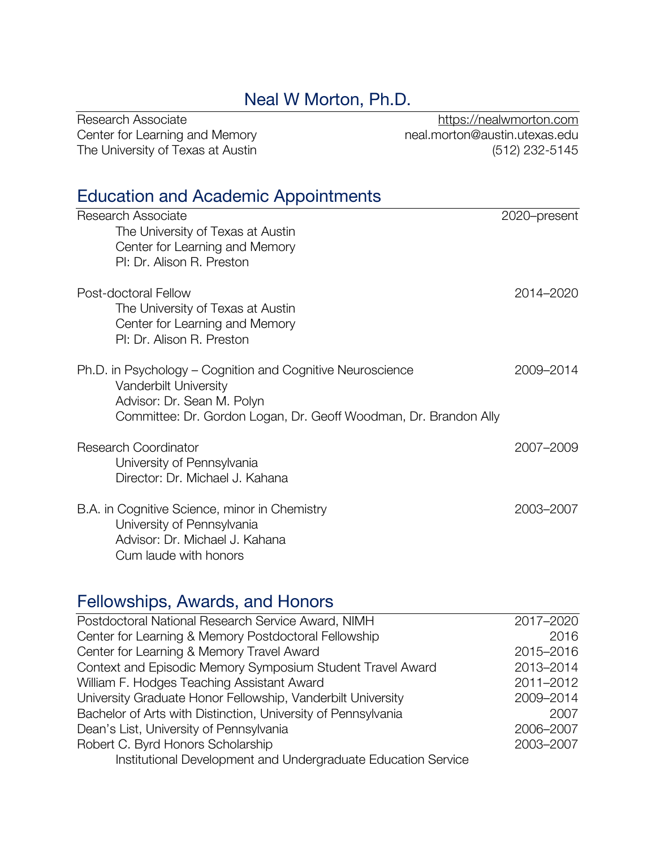# Neal W Morton, Ph.D.

| Research Associate                | https://nealwmorton.com       |
|-----------------------------------|-------------------------------|
| Center for Learning and Memory    | neal.morton@austin.utexas.edu |
| The University of Texas at Austin | (512) 232-5145                |

# Education and Academic Appointments

| Research Associate                                                                                                | 2020-present |
|-------------------------------------------------------------------------------------------------------------------|--------------|
| The University of Texas at Austin                                                                                 |              |
| Center for Learning and Memory                                                                                    |              |
| PI: Dr. Alison R. Preston                                                                                         |              |
| Post-doctoral Fellow                                                                                              | 2014-2020    |
| The University of Texas at Austin                                                                                 |              |
| Center for Learning and Memory                                                                                    |              |
| PI: Dr. Alison R. Preston                                                                                         |              |
| Ph.D. in Psychology – Cognition and Cognitive Neuroscience<br>Vanderbilt University<br>Advisor: Dr. Sean M. Polyn | 2009-2014    |
| Committee: Dr. Gordon Logan, Dr. Geoff Woodman, Dr. Brandon Ally                                                  |              |
| <b>Research Coordinator</b>                                                                                       | 2007-2009    |
| University of Pennsylvania                                                                                        |              |
| Director: Dr. Michael J. Kahana                                                                                   |              |
| B.A. in Cognitive Science, minor in Chemistry                                                                     | 2003-2007    |
| University of Pennsylvania                                                                                        |              |
| Advisor: Dr. Michael J. Kahana<br>Cum laude with honors                                                           |              |
|                                                                                                                   |              |

# Fellowships, Awards, and Honors

| 2017-2020 |
|-----------|
| 2016      |
| 2015-2016 |
| 2013-2014 |
| 2011-2012 |
| 2009-2014 |
| 2007      |
| 2006-2007 |
| 2003-2007 |
|           |
|           |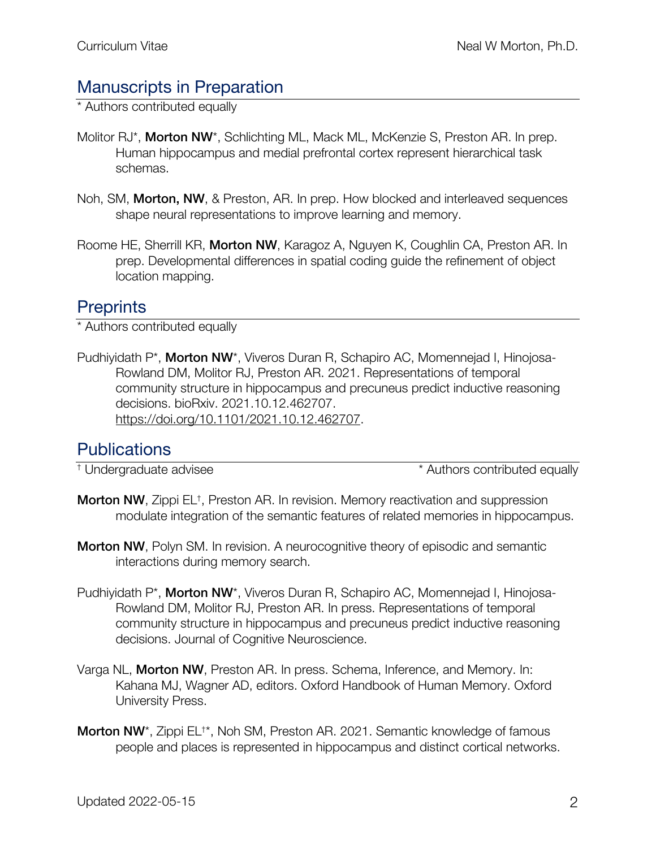# Manuscripts in Preparation

\* Authors contributed equally

- Molitor RJ\*, Morton NW\*, Schlichting ML, Mack ML, McKenzie S, Preston AR. In prep. Human hippocampus and medial prefrontal cortex represent hierarchical task schemas.
- Noh, SM, Morton, NW, & Preston, AR. In prep. How blocked and interleaved sequences shape neural representations to improve learning and memory.
- Roome HE, Sherrill KR, Morton NW, Karagoz A, Nguyen K, Coughlin CA, Preston AR. In prep. Developmental differences in spatial coding guide the refinement of object location mapping.

# **Preprints**

\* Authors contributed equally

Pudhiyidath P\*, Morton NW\*, Viveros Duran R, Schapiro AC, Momennejad I, Hinojosa-Rowland DM, Molitor RJ, Preston AR. 2021. Representations of temporal community structure in hippocampus and precuneus predict inductive reasoning decisions. bioRxiv. 2021.10.12.462707. https://doi.org/10.1101/2021.10.12.462707.

# **Publications**

† Undergraduate advisee \* Authors contributed equally

- Morton NW, Zippi EL<sup>†</sup>, Preston AR. In revision. Memory reactivation and suppression modulate integration of the semantic features of related memories in hippocampus.
- **Morton NW, Polyn SM. In revision. A neurocognitive theory of episodic and semantic** interactions during memory search.
- Pudhiyidath P\*, Morton NW\*, Viveros Duran R, Schapiro AC, Momennejad I, Hinojosa-Rowland DM, Molitor RJ, Preston AR. In press. Representations of temporal community structure in hippocampus and precuneus predict inductive reasoning decisions. Journal of Cognitive Neuroscience.
- Varga NL, Morton NW, Preston AR. In press. Schema, Inference, and Memory. In: Kahana MJ, Wagner AD, editors. Oxford Handbook of Human Memory. Oxford University Press.
- Morton NW<sup>\*</sup>, Zippi EL<sup>+\*</sup>, Noh SM, Preston AR. 2021. Semantic knowledge of famous people and places is represented in hippocampus and distinct cortical networks.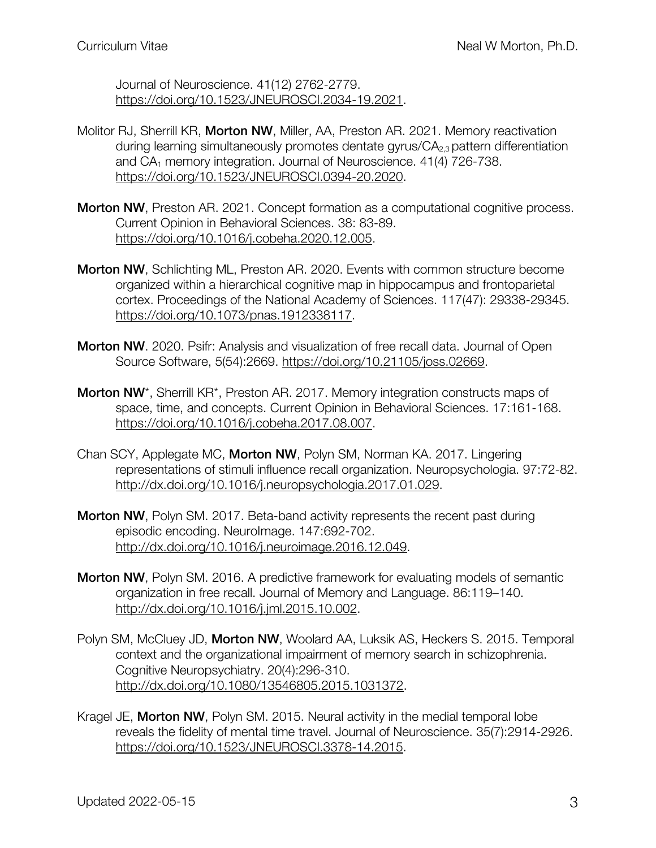Journal of Neuroscience. 41(12) 2762-2779. https://doi.org/10.1523/JNEUROSCI.2034-19.2021.

- Molitor RJ, Sherrill KR, Morton NW, Miller, AA, Preston AR. 2021. Memory reactivation during learning simultaneously promotes dentate gyrus/CA<sub>2,3</sub> pattern differentiation and  $CA<sub>1</sub>$  memory integration. Journal of Neuroscience. 41(4) 726-738. https://doi.org/10.1523/JNEUROSCI.0394-20.2020.
- Morton NW, Preston AR. 2021. Concept formation as a computational cognitive process. Current Opinion in Behavioral Sciences. 38: 83-89. https://doi.org/10.1016/j.cobeha.2020.12.005.
- Morton NW, Schlichting ML, Preston AR. 2020. Events with common structure become organized within a hierarchical cognitive map in hippocampus and frontoparietal cortex. Proceedings of the National Academy of Sciences. 117(47): 29338-29345. https://doi.org/10.1073/pnas.1912338117.
- Morton NW. 2020. Psifr: Analysis and visualization of free recall data. Journal of Open Source Software, 5(54):2669. https://doi.org/10.21105/joss.02669.
- Morton NW<sup>\*</sup>, Sherrill KR<sup>\*</sup>, Preston AR. 2017. Memory integration constructs maps of space, time, and concepts. Current Opinion in Behavioral Sciences. 17:161-168. https://doi.org/10.1016/j.cobeha.2017.08.007.
- Chan SCY, Applegate MC, Morton NW, Polyn SM, Norman KA. 2017. Lingering representations of stimuli influence recall organization. Neuropsychologia. 97:72-82. http://dx.doi.org/10.1016/j.neuropsychologia.2017.01.029.
- Morton NW, Polyn SM. 2017. Beta-band activity represents the recent past during episodic encoding. NeuroImage. 147:692-702. http://dx.doi.org/10.1016/j.neuroimage.2016.12.049.
- Morton NW, Polyn SM. 2016. A predictive framework for evaluating models of semantic organization in free recall. Journal of Memory and Language. 86:119–140. http://dx.doi.org/10.1016/j.jml.2015.10.002.
- Polyn SM, McCluey JD, **Morton NW**, Woolard AA, Luksik AS, Heckers S. 2015. Temporal context and the organizational impairment of memory search in schizophrenia. Cognitive Neuropsychiatry. 20(4):296-310. http://dx.doi.org/10.1080/13546805.2015.1031372.
- Kragel JE, Morton NW, Polyn SM. 2015. Neural activity in the medial temporal lobe reveals the fidelity of mental time travel. Journal of Neuroscience. 35(7):2914-2926. https://doi.org/10.1523/JNEUROSCI.3378-14.2015.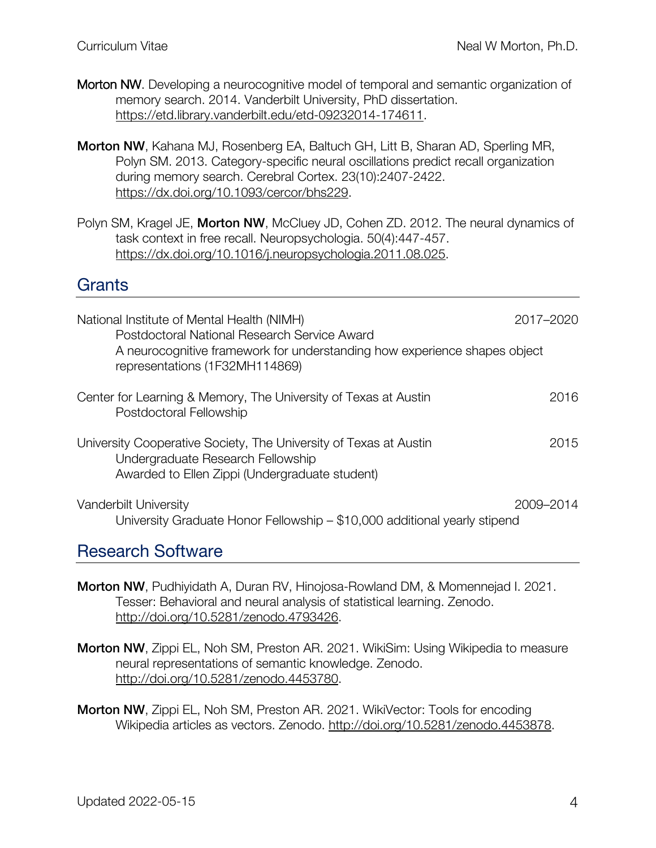- Morton NW. Developing a neurocognitive model of temporal and semantic organization of memory search. 2014. Vanderbilt University, PhD dissertation. https://etd.library.vanderbilt.edu/etd-09232014-174611.
- Morton NW, Kahana MJ, Rosenberg EA, Baltuch GH, Litt B, Sharan AD, Sperling MR, Polyn SM. 2013. Category-specific neural oscillations predict recall organization during memory search. Cerebral Cortex. 23(10):2407-2422. https://dx.doi.org/10.1093/cercor/bhs229.
- Polyn SM, Kragel JE, Morton NW, McCluey JD, Cohen ZD. 2012. The neural dynamics of task context in free recall. Neuropsychologia. 50(4):447-457. https://dx.doi.org/10.1016/j.neuropsychologia.2011.08.025.

#### **Grants**

| National Institute of Mental Health (NIMH)<br>Postdoctoral National Research Service Award                                                               | 2017-2020 |
|----------------------------------------------------------------------------------------------------------------------------------------------------------|-----------|
| A neurocognitive framework for understanding how experience shapes object<br>representations (1F32MH114869)                                              |           |
| Center for Learning & Memory, The University of Texas at Austin<br>Postdoctoral Fellowship                                                               | 2016      |
| University Cooperative Society, The University of Texas at Austin<br>Undergraduate Research Fellowship<br>Awarded to Ellen Zippi (Undergraduate student) | 2015      |
| Vanderbilt University<br>University Graduate Honor Fellowship - \$10,000 additional yearly stipend                                                       | 2009–2014 |

### Research Software

Morton NW, Pudhiyidath A, Duran RV, Hinojosa-Rowland DM, & Momennejad I. 2021. Tesser: Behavioral and neural analysis of statistical learning. Zenodo. http://doi.org/10.5281/zenodo.4793426.

- Morton NW, Zippi EL, Noh SM, Preston AR. 2021. WikiSim: Using Wikipedia to measure neural representations of semantic knowledge. Zenodo. http://doi.org/10.5281/zenodo.4453780.
- Morton NW, Zippi EL, Noh SM, Preston AR. 2021. WikiVector: Tools for encoding Wikipedia articles as vectors. Zenodo. http://doi.org/10.5281/zenodo.4453878.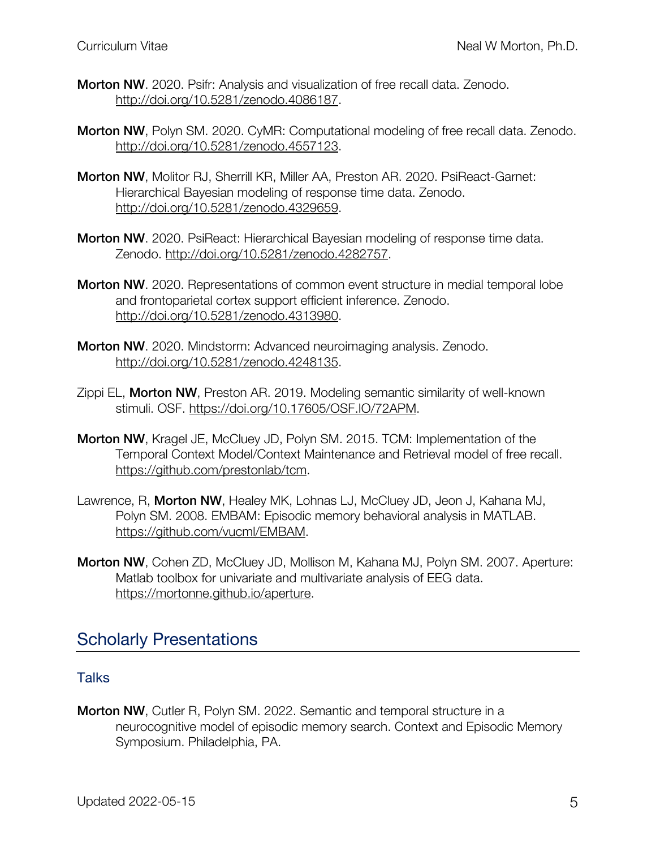- Morton NW. 2020. Psifr: Analysis and visualization of free recall data. Zenodo. http://doi.org/10.5281/zenodo.4086187.
- Morton NW, Polyn SM. 2020. CyMR: Computational modeling of free recall data. Zenodo. http://doi.org/10.5281/zenodo.4557123.
- Morton NW, Molitor RJ, Sherrill KR, Miller AA, Preston AR. 2020. PsiReact-Garnet: Hierarchical Bayesian modeling of response time data. Zenodo. http://doi.org/10.5281/zenodo.4329659.
- Morton NW. 2020. PsiReact: Hierarchical Bayesian modeling of response time data. Zenodo. http://doi.org/10.5281/zenodo.4282757.
- Morton NW. 2020. Representations of common event structure in medial temporal lobe and frontoparietal cortex support efficient inference. Zenodo. http://doi.org/10.5281/zenodo.4313980.
- Morton NW. 2020. Mindstorm: Advanced neuroimaging analysis. Zenodo. http://doi.org/10.5281/zenodo.4248135.
- Zippi EL, Morton NW, Preston AR. 2019. Modeling semantic similarity of well-known stimuli. OSF. https://doi.org/10.17605/OSF.IO/72APM.
- Morton NW, Kragel JE, McCluey JD, Polyn SM. 2015. TCM: Implementation of the Temporal Context Model/Context Maintenance and Retrieval model of free recall. https://github.com/prestonlab/tcm.
- Lawrence, R, Morton NW, Healey MK, Lohnas LJ, McCluey JD, Jeon J, Kahana MJ, Polyn SM. 2008. EMBAM: Episodic memory behavioral analysis in MATLAB. https://github.com/vucml/EMBAM.
- Morton NW, Cohen ZD, McCluey JD, Mollison M, Kahana MJ, Polyn SM. 2007. Aperture: Matlab toolbox for univariate and multivariate analysis of EEG data. https://mortonne.github.io/aperture.

### Scholarly Presentations

#### **Talks**

Morton NW, Cutler R, Polyn SM. 2022. Semantic and temporal structure in a neurocognitive model of episodic memory search. Context and Episodic Memory Symposium. Philadelphia, PA.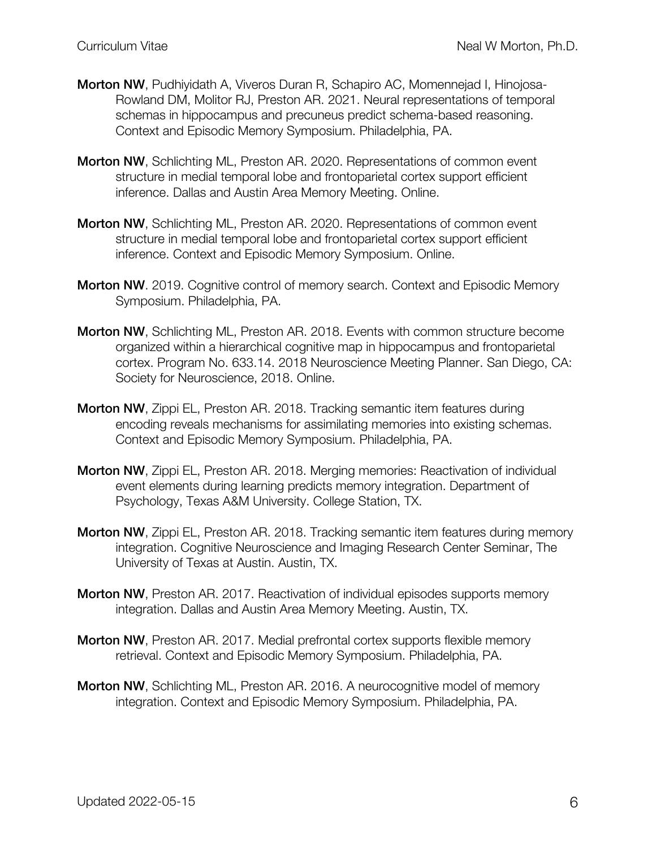- Morton NW, Pudhiyidath A, Viveros Duran R, Schapiro AC, Momennejad I, Hinojosa-Rowland DM, Molitor RJ, Preston AR. 2021. Neural representations of temporal schemas in hippocampus and precuneus predict schema-based reasoning. Context and Episodic Memory Symposium. Philadelphia, PA.
- Morton NW, Schlichting ML, Preston AR. 2020. Representations of common event structure in medial temporal lobe and frontoparietal cortex support efficient inference. Dallas and Austin Area Memory Meeting. Online.
- Morton NW, Schlichting ML, Preston AR. 2020. Representations of common event structure in medial temporal lobe and frontoparietal cortex support efficient inference. Context and Episodic Memory Symposium. Online.
- Morton NW. 2019. Cognitive control of memory search. Context and Episodic Memory Symposium. Philadelphia, PA.
- Morton NW, Schlichting ML, Preston AR. 2018. Events with common structure become organized within a hierarchical cognitive map in hippocampus and frontoparietal cortex. Program No. 633.14. 2018 Neuroscience Meeting Planner. San Diego, CA: Society for Neuroscience, 2018. Online.
- Morton NW, Zippi EL, Preston AR. 2018. Tracking semantic item features during encoding reveals mechanisms for assimilating memories into existing schemas. Context and Episodic Memory Symposium. Philadelphia, PA.
- Morton NW, Zippi EL, Preston AR. 2018. Merging memories: Reactivation of individual event elements during learning predicts memory integration. Department of Psychology, Texas A&M University. College Station, TX.
- Morton NW, Zippi EL, Preston AR. 2018. Tracking semantic item features during memory integration. Cognitive Neuroscience and Imaging Research Center Seminar, The University of Texas at Austin. Austin, TX.
- **Morton NW**, Preston AR. 2017. Reactivation of individual episodes supports memory integration. Dallas and Austin Area Memory Meeting. Austin, TX.
- Morton NW, Preston AR. 2017. Medial prefrontal cortex supports flexible memory retrieval. Context and Episodic Memory Symposium. Philadelphia, PA.
- Morton NW, Schlichting ML, Preston AR. 2016. A neurocognitive model of memory integration. Context and Episodic Memory Symposium. Philadelphia, PA.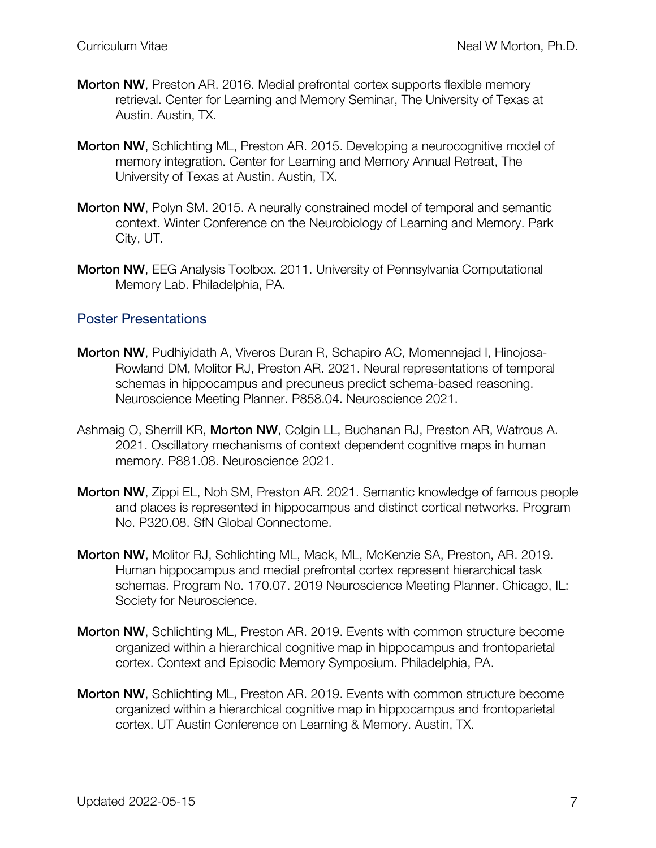- Morton NW, Preston AR. 2016. Medial prefrontal cortex supports flexible memory retrieval. Center for Learning and Memory Seminar, The University of Texas at Austin. Austin, TX.
- Morton NW, Schlichting ML, Preston AR. 2015. Developing a neurocognitive model of memory integration. Center for Learning and Memory Annual Retreat, The University of Texas at Austin. Austin, TX.
- Morton NW, Polyn SM. 2015. A neurally constrained model of temporal and semantic context. Winter Conference on the Neurobiology of Learning and Memory. Park City, UT.
- Morton NW, EEG Analysis Toolbox. 2011. University of Pennsylvania Computational Memory Lab. Philadelphia, PA.

#### Poster Presentations

- Morton NW, Pudhiyidath A, Viveros Duran R, Schapiro AC, Momennejad I, Hinojosa-Rowland DM, Molitor RJ, Preston AR. 2021. Neural representations of temporal schemas in hippocampus and precuneus predict schema-based reasoning. Neuroscience Meeting Planner. P858.04. Neuroscience 2021.
- Ashmaig O, Sherrill KR, Morton NW, Colgin LL, Buchanan RJ, Preston AR, Watrous A. 2021. Oscillatory mechanisms of context dependent cognitive maps in human memory. P881.08. Neuroscience 2021.
- Morton NW, Zippi EL, Noh SM, Preston AR. 2021. Semantic knowledge of famous people and places is represented in hippocampus and distinct cortical networks. Program No. P320.08. SfN Global Connectome.
- Morton NW, Molitor RJ, Schlichting ML, Mack, ML, McKenzie SA, Preston, AR. 2019. Human hippocampus and medial prefrontal cortex represent hierarchical task schemas. Program No. 170.07. 2019 Neuroscience Meeting Planner. Chicago, IL: Society for Neuroscience.
- Morton NW, Schlichting ML, Preston AR. 2019. Events with common structure become organized within a hierarchical cognitive map in hippocampus and frontoparietal cortex. Context and Episodic Memory Symposium. Philadelphia, PA.
- Morton NW, Schlichting ML, Preston AR. 2019. Events with common structure become organized within a hierarchical cognitive map in hippocampus and frontoparietal cortex. UT Austin Conference on Learning & Memory. Austin, TX.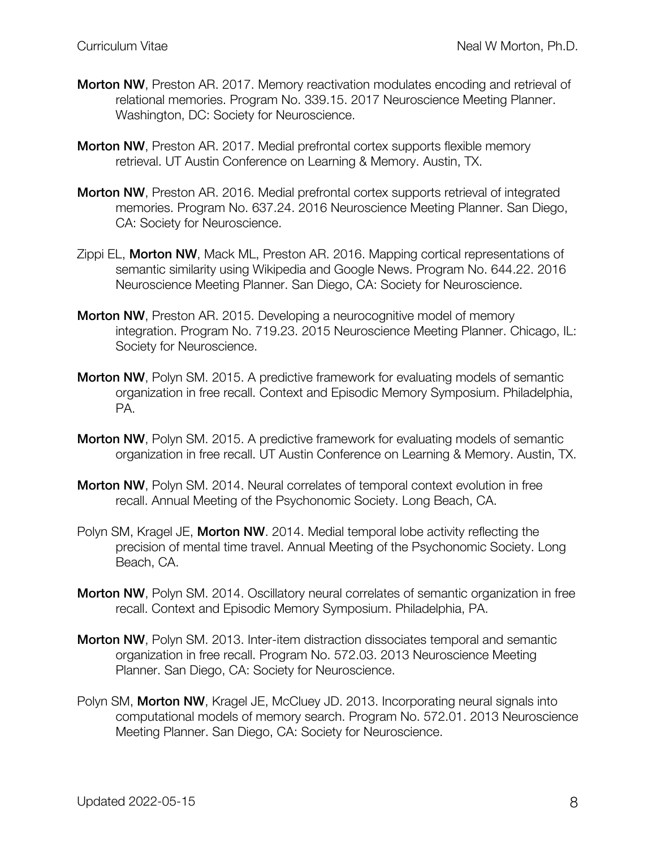- Morton NW, Preston AR. 2017. Memory reactivation modulates encoding and retrieval of relational memories. Program No. 339.15. 2017 Neuroscience Meeting Planner. Washington, DC: Society for Neuroscience.
- **Morton NW**, Preston AR. 2017. Medial prefrontal cortex supports flexible memory retrieval. UT Austin Conference on Learning & Memory. Austin, TX.
- Morton NW, Preston AR. 2016. Medial prefrontal cortex supports retrieval of integrated memories. Program No. 637.24. 2016 Neuroscience Meeting Planner. San Diego, CA: Society for Neuroscience.
- Zippi EL, Morton NW, Mack ML, Preston AR. 2016. Mapping cortical representations of semantic similarity using Wikipedia and Google News. Program No. 644.22. 2016 Neuroscience Meeting Planner. San Diego, CA: Society for Neuroscience.
- Morton NW, Preston AR. 2015. Developing a neurocognitive model of memory integration. Program No. 719.23. 2015 Neuroscience Meeting Planner. Chicago, IL: Society for Neuroscience.
- Morton NW, Polyn SM. 2015. A predictive framework for evaluating models of semantic organization in free recall. Context and Episodic Memory Symposium. Philadelphia, PA.
- Morton NW, Polyn SM. 2015. A predictive framework for evaluating models of semantic organization in free recall. UT Austin Conference on Learning & Memory. Austin, TX.
- Morton NW, Polyn SM. 2014. Neural correlates of temporal context evolution in free recall. Annual Meeting of the Psychonomic Society. Long Beach, CA.
- Polyn SM, Kragel JE, **Morton NW**. 2014. Medial temporal lobe activity reflecting the precision of mental time travel. Annual Meeting of the Psychonomic Society. Long Beach, CA.
- Morton NW, Polyn SM. 2014. Oscillatory neural correlates of semantic organization in free recall. Context and Episodic Memory Symposium. Philadelphia, PA.
- Morton NW, Polyn SM. 2013. Inter-item distraction dissociates temporal and semantic organization in free recall. Program No. 572.03. 2013 Neuroscience Meeting Planner. San Diego, CA: Society for Neuroscience.
- Polyn SM, Morton NW, Kragel JE, McCluey JD. 2013. Incorporating neural signals into computational models of memory search. Program No. 572.01. 2013 Neuroscience Meeting Planner. San Diego, CA: Society for Neuroscience.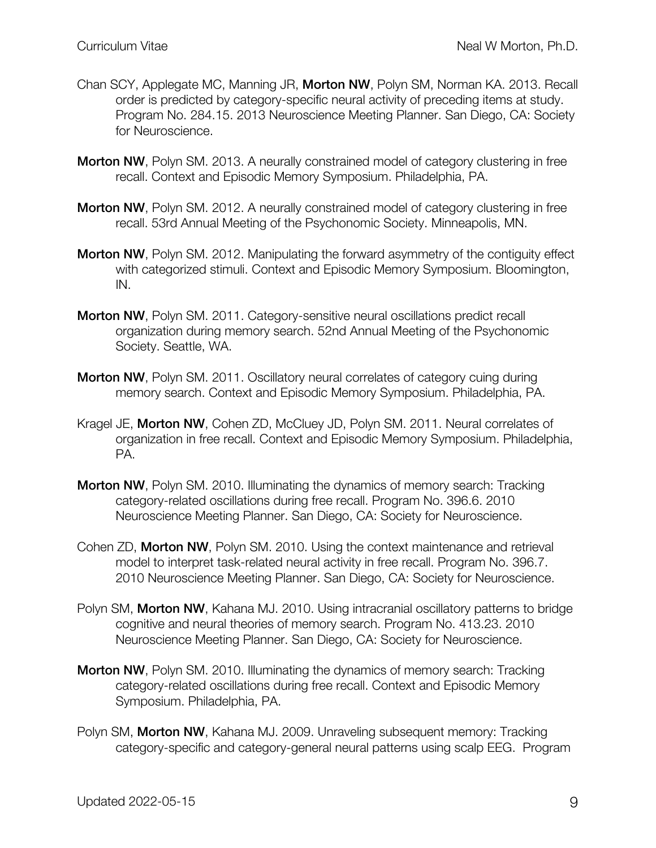- Chan SCY, Applegate MC, Manning JR, Morton NW, Polyn SM, Norman KA. 2013. Recall order is predicted by category-specific neural activity of preceding items at study. Program No. 284.15. 2013 Neuroscience Meeting Planner. San Diego, CA: Society for Neuroscience.
- Morton NW, Polyn SM. 2013. A neurally constrained model of category clustering in free recall. Context and Episodic Memory Symposium. Philadelphia, PA.
- Morton NW, Polyn SM. 2012. A neurally constrained model of category clustering in free recall. 53rd Annual Meeting of the Psychonomic Society. Minneapolis, MN.
- Morton NW, Polyn SM. 2012. Manipulating the forward asymmetry of the contiguity effect with categorized stimuli. Context and Episodic Memory Symposium. Bloomington, IN.
- Morton NW, Polyn SM. 2011. Category-sensitive neural oscillations predict recall organization during memory search. 52nd Annual Meeting of the Psychonomic Society. Seattle, WA.
- Morton NW, Polyn SM. 2011. Oscillatory neural correlates of category cuing during memory search. Context and Episodic Memory Symposium. Philadelphia, PA.
- Kragel JE, Morton NW, Cohen ZD, McCluey JD, Polyn SM. 2011. Neural correlates of organization in free recall. Context and Episodic Memory Symposium. Philadelphia, PA.
- Morton NW, Polyn SM. 2010. Illuminating the dynamics of memory search: Tracking category-related oscillations during free recall. Program No. 396.6. 2010 Neuroscience Meeting Planner. San Diego, CA: Society for Neuroscience.
- Cohen ZD, Morton NW, Polyn SM. 2010. Using the context maintenance and retrieval model to interpret task-related neural activity in free recall. Program No. 396.7. 2010 Neuroscience Meeting Planner. San Diego, CA: Society for Neuroscience.
- Polyn SM, Morton NW, Kahana MJ. 2010. Using intracranial oscillatory patterns to bridge cognitive and neural theories of memory search. Program No. 413.23. 2010 Neuroscience Meeting Planner. San Diego, CA: Society for Neuroscience.
- Morton NW, Polyn SM. 2010. Illuminating the dynamics of memory search: Tracking category-related oscillations during free recall. Context and Episodic Memory Symposium. Philadelphia, PA.
- Polyn SM, Morton NW, Kahana MJ. 2009. Unraveling subsequent memory: Tracking category-specific and category-general neural patterns using scalp EEG. Program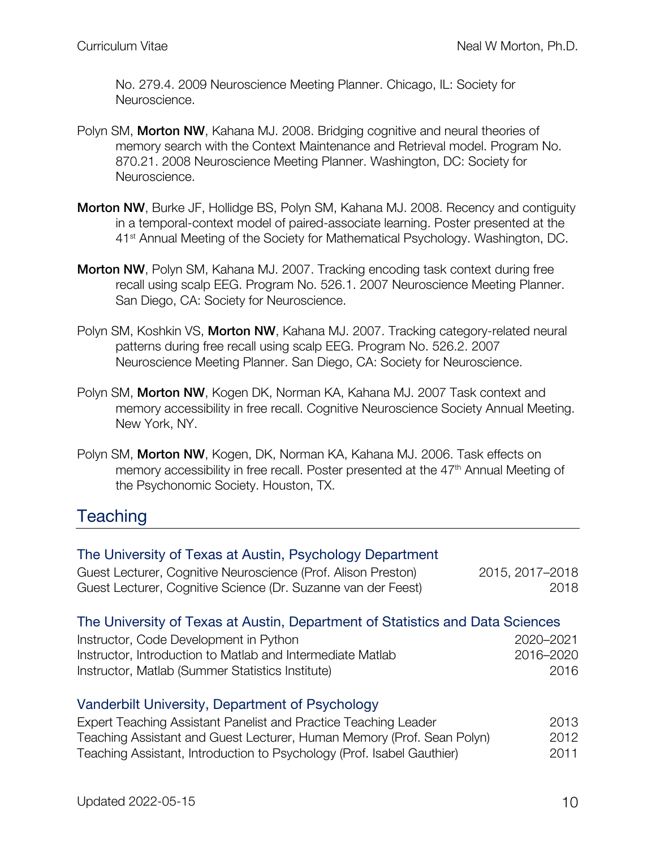No. 279.4. 2009 Neuroscience Meeting Planner. Chicago, IL: Society for Neuroscience.

- Polyn SM, **Morton NW**, Kahana MJ, 2008. Bridging cognitive and neural theories of memory search with the Context Maintenance and Retrieval model. Program No. 870.21. 2008 Neuroscience Meeting Planner. Washington, DC: Society for Neuroscience.
- Morton NW, Burke JF, Hollidge BS, Polyn SM, Kahana MJ. 2008. Recency and contiguity in a temporal-context model of paired-associate learning. Poster presented at the 41<sup>st</sup> Annual Meeting of the Society for Mathematical Psychology. Washington, DC.
- Morton NW, Polyn SM, Kahana MJ. 2007. Tracking encoding task context during free recall using scalp EEG. Program No. 526.1. 2007 Neuroscience Meeting Planner. San Diego, CA: Society for Neuroscience.
- Polyn SM, Koshkin VS, Morton NW, Kahana MJ. 2007. Tracking category-related neural patterns during free recall using scalp EEG. Program No. 526.2. 2007 Neuroscience Meeting Planner. San Diego, CA: Society for Neuroscience.
- Polyn SM, Morton NW, Kogen DK, Norman KA, Kahana MJ. 2007 Task context and memory accessibility in free recall. Cognitive Neuroscience Society Annual Meeting. New York, NY.
- Polyn SM, Morton NW, Kogen, DK, Norman KA, Kahana MJ. 2006. Task effects on memory accessibility in free recall. Poster presented at the  $47<sup>th</sup>$  Annual Meeting of the Psychonomic Society. Houston, TX.

# **Teaching**

| The University of Texas at Austin, Psychology Department<br>Guest Lecturer, Cognitive Neuroscience (Prof. Alison Preston)<br>Guest Lecturer, Cognitive Science (Dr. Suzanne van der Feest) | 2015, 2017-2018<br>2018 |
|--------------------------------------------------------------------------------------------------------------------------------------------------------------------------------------------|-------------------------|
| The University of Texas at Austin, Department of Statistics and Data Sciences                                                                                                              |                         |
| Instructor, Code Development in Python                                                                                                                                                     | 2020-2021               |
| Instructor, Introduction to Matlab and Intermediate Matlab                                                                                                                                 | 2016-2020               |
| Instructor, Matlab (Summer Statistics Institute)                                                                                                                                           | 2016                    |
| Vanderbilt University, Department of Psychology                                                                                                                                            |                         |
| Expert Teaching Assistant Panelist and Practice Teaching Leader                                                                                                                            | 2013                    |
| Teaching Assistant and Guest Lecturer, Human Memory (Prof. Sean Polyn)                                                                                                                     | 2012                    |
| Teaching Assistant, Introduction to Psychology (Prof. Isabel Gauthier)                                                                                                                     | 2011                    |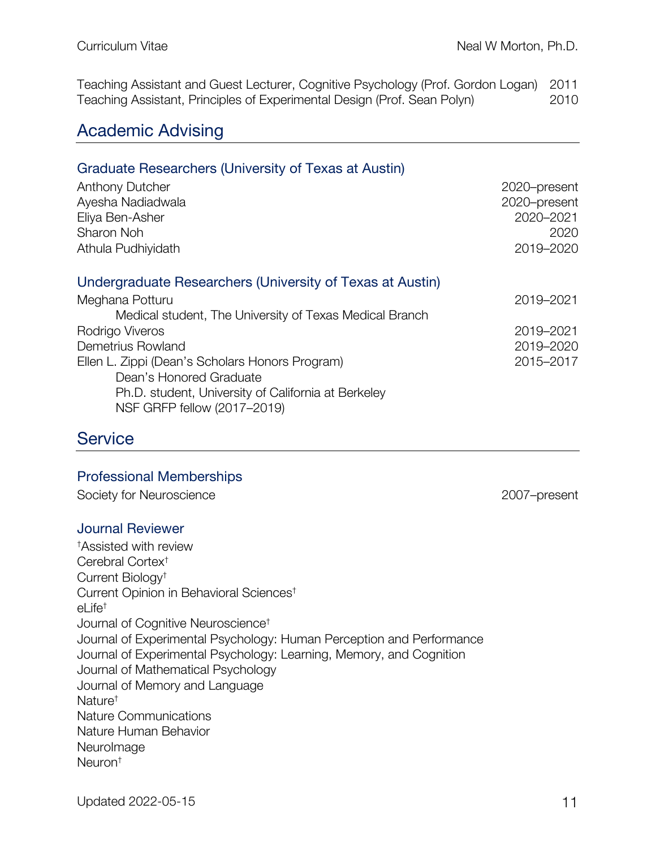Teaching Assistant and Guest Lecturer, Cognitive Psychology (Prof. Gordon Logan) 2011 Teaching Assistant, Principles of Experimental Design (Prof. Sean Polyn) 2010

## Academic Advising

### Graduate Researchers (University of Texas at Austin) Anthony Dutcher 2020–present Ayesha Nadiadwala 2020–present Eliya Ben-Asher 2020–2021 Sharon Noh 2020 Athula Pudhiyidath 2019–2020 Undergraduate Researchers (University of Texas at Austin) Meghana Potturu 2019–2021

| Medical student, The University of Texas Medical Branch |           |
|---------------------------------------------------------|-----------|
| Rodrigo Viveros                                         | 2019-2021 |
| Demetrius Rowland                                       | 2019-2020 |
| Ellen L. Zippi (Dean's Scholars Honors Program)         | 2015-2017 |
| Dean's Honored Graduate                                 |           |
| Ph.D. student, University of California at Berkeley     |           |

NSF GRFP fellow (2017–2019)

# **Service**

#### Professional Memberships

Society for Neuroscience 2007–present

#### Journal Reviewer

† Assisted with review Cerebral Cortex† Current Biology† Current Opinion in Behavioral Sciences† el ife<sup> $\dagger$ </sup> Journal of Cognitive Neuroscience† Journal of Experimental Psychology: Human Perception and Performance Journal of Experimental Psychology: Learning, Memory, and Cognition Journal of Mathematical Psychology Journal of Memory and Language Nature† Nature Communications Nature Human Behavior **NeuroImage** Neuron†

Updated 2022-05-15 11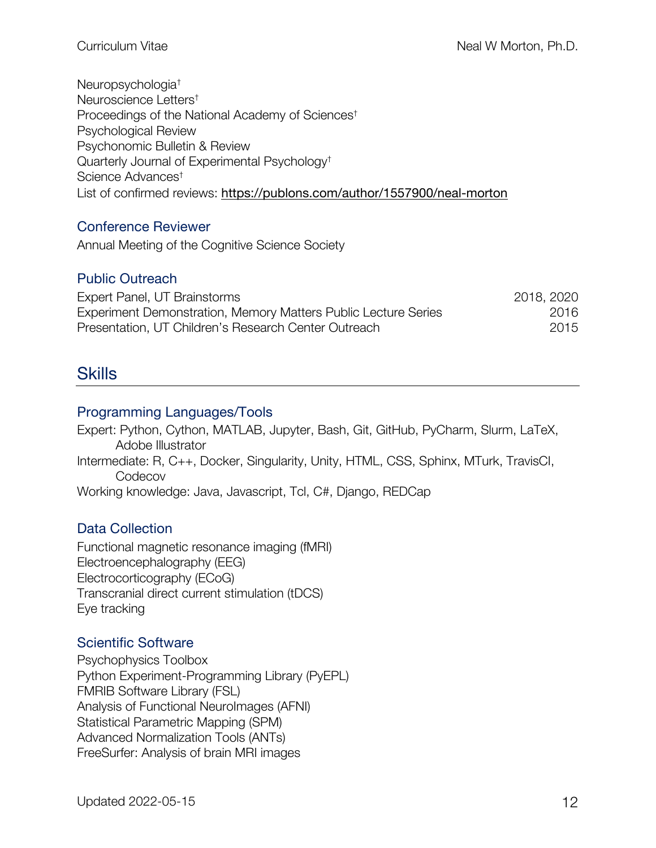Neuropsychologia† Neuroscience Letters† Proceedings of the National Academy of Sciences† Psychological Review Psychonomic Bulletin & Review Quarterly Journal of Experimental Psychology† Science Advances† List of confirmed reviews: https://publons.com/author/1557900/neal-morton

#### Conference Reviewer

Annual Meeting of the Cognitive Science Society

### Public Outreach

| Expert Panel, UT Brainstorms                                   | 2018, 2020 |
|----------------------------------------------------------------|------------|
| Experiment Demonstration, Memory Matters Public Lecture Series | 2016       |
| Presentation, UT Children's Research Center Outreach           | 2015       |

# **Skills**

#### Programming Languages/Tools

Expert: Python, Cython, MATLAB, Jupyter, Bash, Git, GitHub, PyCharm, Slurm, LaTeX, Adobe Illustrator Intermediate: R, C++, Docker, Singularity, Unity, HTML, CSS, Sphinx, MTurk, TravisCI, **Codecov** 

Working knowledge: Java, Javascript, Tcl, C#, Django, REDCap

#### Data Collection

Functional magnetic resonance imaging (fMRI) Electroencephalography (EEG) Electrocorticography (ECoG) Transcranial direct current stimulation (tDCS) Eye tracking

#### Scientific Software

Psychophysics Toolbox Python Experiment-Programming Library (PyEPL) FMRIB Software Library (FSL) Analysis of Functional NeuroImages (AFNI) Statistical Parametric Mapping (SPM) Advanced Normalization Tools (ANTs) FreeSurfer: Analysis of brain MRI images